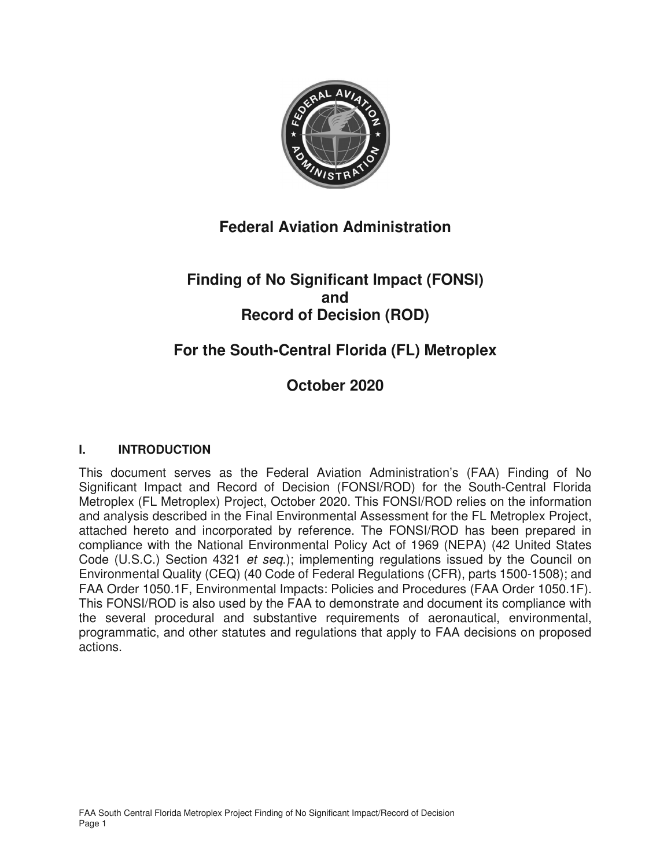

# **Federal Aviation Administration**

# **Finding of No Significant Impact (FONSI) and Record of Decision (ROD)**

# **For the South-Central Florida (FL) Metroplex**

# **October 2020**

## **I. INTRODUCTION**

This document serves as the Federal Aviation Administration's (FAA) Finding of No Significant Impact and Record of Decision (FONSI/ROD) for the South-Central Florida Metroplex (FL Metroplex) Project, October 2020. This FONSI/ROD relies on the information and analysis described in the Final Environmental Assessment for the FL Metroplex Project, attached hereto and incorporated by reference. The FONSI/ROD has been prepared in compliance with the National Environmental Policy Act of 1969 (NEPA) (42 United States Code (U.S.C.) Section 4321 et seq.); implementing regulations issued by the Council on Environmental Quality (CEQ) (40 Code of Federal Regulations (CFR), parts 1500-1508); and FAA Order 1050.1F, Environmental Impacts: Policies and Procedures (FAA Order 1050.1F). This FONSI/ROD is also used by the FAA to demonstrate and document its compliance with the several procedural and substantive requirements of aeronautical, environmental, programmatic, and other statutes and regulations that apply to FAA decisions on proposed actions.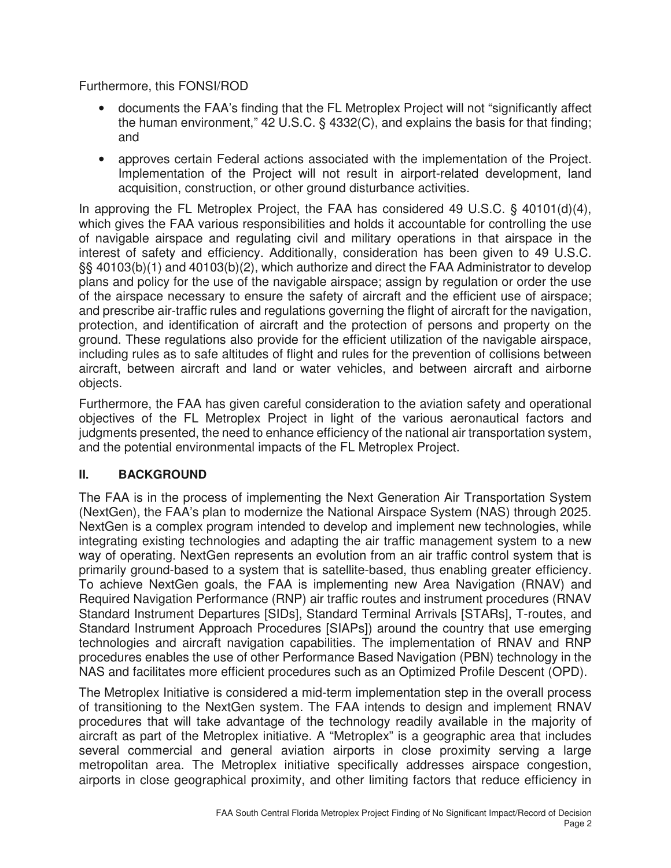Furthermore, this FONSI/ROD

- documents the FAA's finding that the FL Metroplex Project will not "significantly affect the human environment," 42 U.S.C. § 4332(C), and explains the basis for that finding; and
- approves certain Federal actions associated with the implementation of the Project. Implementation of the Project will not result in airport-related development, land acquisition, construction, or other ground disturbance activities.

In approving the FL Metroplex Project, the FAA has considered 49 U.S.C. § 40101(d)(4), which gives the FAA various responsibilities and holds it accountable for controlling the use of navigable airspace and regulating civil and military operations in that airspace in the interest of safety and efficiency. Additionally, consideration has been given to 49 U.S.C. §§ 40103(b)(1) and 40103(b)(2), which authorize and direct the FAA Administrator to develop plans and policy for the use of the navigable airspace; assign by regulation or order the use of the airspace necessary to ensure the safety of aircraft and the efficient use of airspace; and prescribe air-traffic rules and regulations governing the flight of aircraft for the navigation, protection, and identification of aircraft and the protection of persons and property on the ground. These regulations also provide for the efficient utilization of the navigable airspace, including rules as to safe altitudes of flight and rules for the prevention of collisions between aircraft, between aircraft and land or water vehicles, and between aircraft and airborne objects.

Furthermore, the FAA has given careful consideration to the aviation safety and operational objectives of the FL Metroplex Project in light of the various aeronautical factors and judgments presented, the need to enhance efficiency of the national air transportation system, and the potential environmental impacts of the FL Metroplex Project.

## **II. BACKGROUND**

The FAA is in the process of implementing the Next Generation Air Transportation System (NextGen), the FAA's plan to modernize the National Airspace System (NAS) through 2025. NextGen is a complex program intended to develop and implement new technologies, while integrating existing technologies and adapting the air traffic management system to a new way of operating. NextGen represents an evolution from an air traffic control system that is primarily ground-based to a system that is satellite-based, thus enabling greater efficiency. To achieve NextGen goals, the FAA is implementing new Area Navigation (RNAV) and Required Navigation Performance (RNP) air traffic routes and instrument procedures (RNAV Standard Instrument Departures [SIDs], Standard Terminal Arrivals [STARs], T-routes, and Standard Instrument Approach Procedures [SIAPs]) around the country that use emerging technologies and aircraft navigation capabilities. The implementation of RNAV and RNP procedures enables the use of other Performance Based Navigation (PBN) technology in the NAS and facilitates more efficient procedures such as an Optimized Profile Descent (OPD).

The Metroplex Initiative is considered a mid-term implementation step in the overall process of transitioning to the NextGen system. The FAA intends to design and implement RNAV procedures that will take advantage of the technology readily available in the majority of aircraft as part of the Metroplex initiative. A "Metroplex" is a geographic area that includes several commercial and general aviation airports in close proximity serving a large metropolitan area. The Metroplex initiative specifically addresses airspace congestion, airports in close geographical proximity, and other limiting factors that reduce efficiency in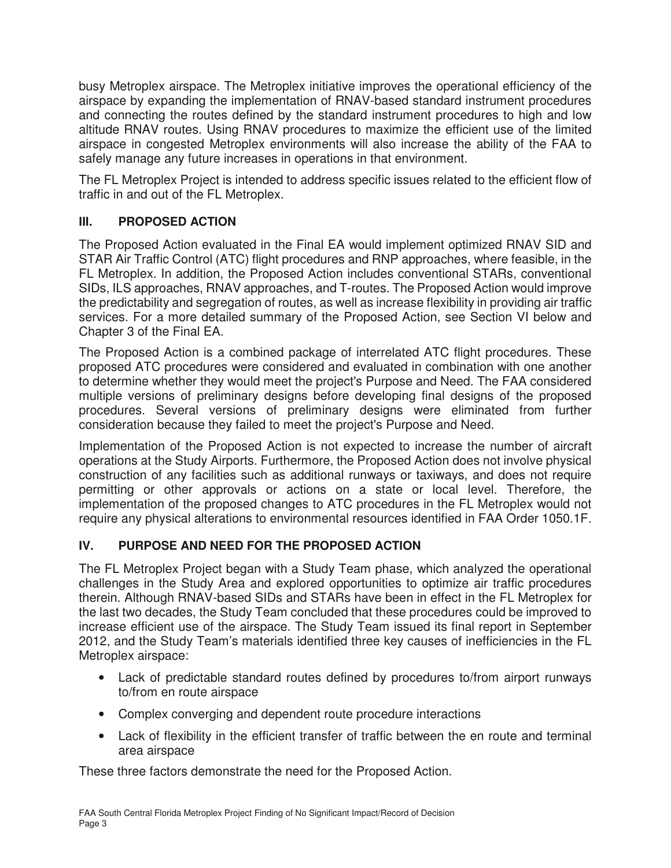busy Metroplex airspace. The Metroplex initiative improves the operational efficiency of the airspace by expanding the implementation of RNAV-based standard instrument procedures and connecting the routes defined by the standard instrument procedures to high and low altitude RNAV routes. Using RNAV procedures to maximize the efficient use of the limited airspace in congested Metroplex environments will also increase the ability of the FAA to safely manage any future increases in operations in that environment.

The FL Metroplex Project is intended to address specific issues related to the efficient flow of traffic in and out of the FL Metroplex.

## **III. PROPOSED ACTION**

The Proposed Action evaluated in the Final EA would implement optimized RNAV SID and STAR Air Traffic Control (ATC) flight procedures and RNP approaches, where feasible, in the FL Metroplex. In addition, the Proposed Action includes conventional STARs, conventional SIDs, ILS approaches, RNAV approaches, and T-routes. The Proposed Action would improve the predictability and segregation of routes, as well as increase flexibility in providing air traffic services. For a more detailed summary of the Proposed Action, see Section VI below and Chapter 3 of the Final EA.

The Proposed Action is a combined package of interrelated ATC flight procedures. These proposed ATC procedures were considered and evaluated in combination with one another to determine whether they would meet the project's Purpose and Need. The FAA considered multiple versions of preliminary designs before developing final designs of the proposed procedures. Several versions of preliminary designs were eliminated from further consideration because they failed to meet the project's Purpose and Need.

Implementation of the Proposed Action is not expected to increase the number of aircraft operations at the Study Airports. Furthermore, the Proposed Action does not involve physical construction of any facilities such as additional runways or taxiways, and does not require permitting or other approvals or actions on a state or local level. Therefore, the implementation of the proposed changes to ATC procedures in the FL Metroplex would not require any physical alterations to environmental resources identified in FAA Order 1050.1F.

## **IV. PURPOSE AND NEED FOR THE PROPOSED ACTION**

The FL Metroplex Project began with a Study Team phase, which analyzed the operational challenges in the Study Area and explored opportunities to optimize air traffic procedures therein. Although RNAV-based SIDs and STARs have been in effect in the FL Metroplex for the last two decades, the Study Team concluded that these procedures could be improved to increase efficient use of the airspace. The Study Team issued its final report in September 2012, and the Study Team's materials identified three key causes of inefficiencies in the FL Metroplex airspace:

- Lack of predictable standard routes defined by procedures to/from airport runways to/from en route airspace
- Complex converging and dependent route procedure interactions
- Lack of flexibility in the efficient transfer of traffic between the en route and terminal area airspace

These three factors demonstrate the need for the Proposed Action.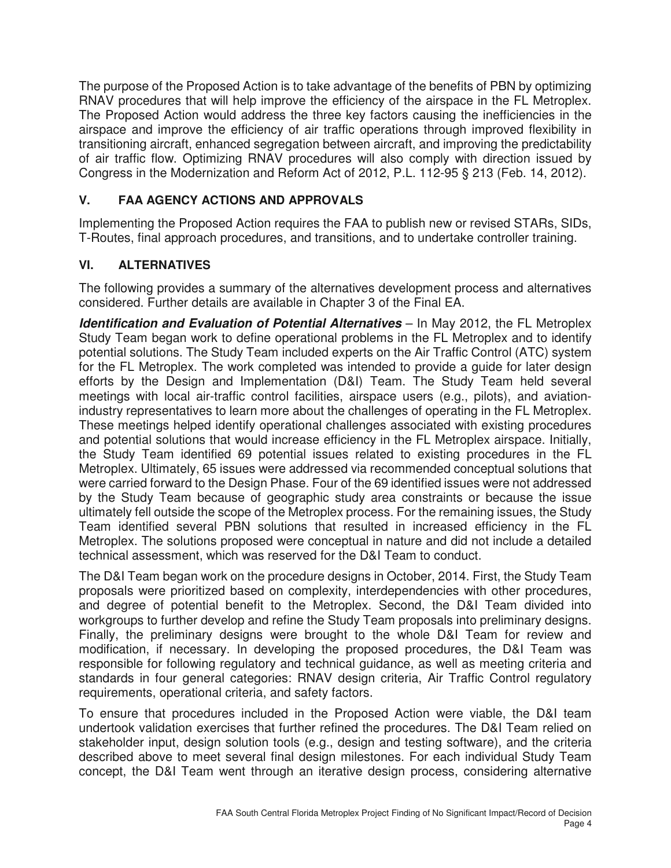The purpose of the Proposed Action is to take advantage of the benefits of PBN by optimizing RNAV procedures that will help improve the efficiency of the airspace in the FL Metroplex. The Proposed Action would address the three key factors causing the inefficiencies in the airspace and improve the efficiency of air traffic operations through improved flexibility in transitioning aircraft, enhanced segregation between aircraft, and improving the predictability of air traffic flow. Optimizing RNAV procedures will also comply with direction issued by Congress in the Modernization and Reform Act of 2012, P.L. 112-95 § 213 (Feb. 14, 2012).

## **V. FAA AGENCY ACTIONS AND APPROVALS**

Implementing the Proposed Action requires the FAA to publish new or revised STARs, SIDs, T-Routes, final approach procedures, and transitions, and to undertake controller training.

## **VI. ALTERNATIVES**

The following provides a summary of the alternatives development process and alternatives considered. Further details are available in Chapter 3 of the Final EA.

**Identification and Evaluation of Potential Alternatives** – In May 2012, the FL Metroplex Study Team began work to define operational problems in the FL Metroplex and to identify potential solutions. The Study Team included experts on the Air Traffic Control (ATC) system for the FL Metroplex. The work completed was intended to provide a guide for later design efforts by the Design and Implementation (D&I) Team. The Study Team held several meetings with local air-traffic control facilities, airspace users (e.g., pilots), and aviationindustry representatives to learn more about the challenges of operating in the FL Metroplex. These meetings helped identify operational challenges associated with existing procedures and potential solutions that would increase efficiency in the FL Metroplex airspace. Initially, the Study Team identified 69 potential issues related to existing procedures in the FL Metroplex. Ultimately, 65 issues were addressed via recommended conceptual solutions that were carried forward to the Design Phase. Four of the 69 identified issues were not addressed by the Study Team because of geographic study area constraints or because the issue ultimately fell outside the scope of the Metroplex process. For the remaining issues, the Study Team identified several PBN solutions that resulted in increased efficiency in the FL Metroplex. The solutions proposed were conceptual in nature and did not include a detailed technical assessment, which was reserved for the D&I Team to conduct.

The D&I Team began work on the procedure designs in October, 2014. First, the Study Team proposals were prioritized based on complexity, interdependencies with other procedures, and degree of potential benefit to the Metroplex. Second, the D&I Team divided into workgroups to further develop and refine the Study Team proposals into preliminary designs. Finally, the preliminary designs were brought to the whole D&I Team for review and modification, if necessary. In developing the proposed procedures, the D&I Team was responsible for following regulatory and technical guidance, as well as meeting criteria and standards in four general categories: RNAV design criteria, Air Traffic Control regulatory requirements, operational criteria, and safety factors.

To ensure that procedures included in the Proposed Action were viable, the D&I team undertook validation exercises that further refined the procedures. The D&I Team relied on stakeholder input, design solution tools (e.g., design and testing software), and the criteria described above to meet several final design milestones. For each individual Study Team concept, the D&I Team went through an iterative design process, considering alternative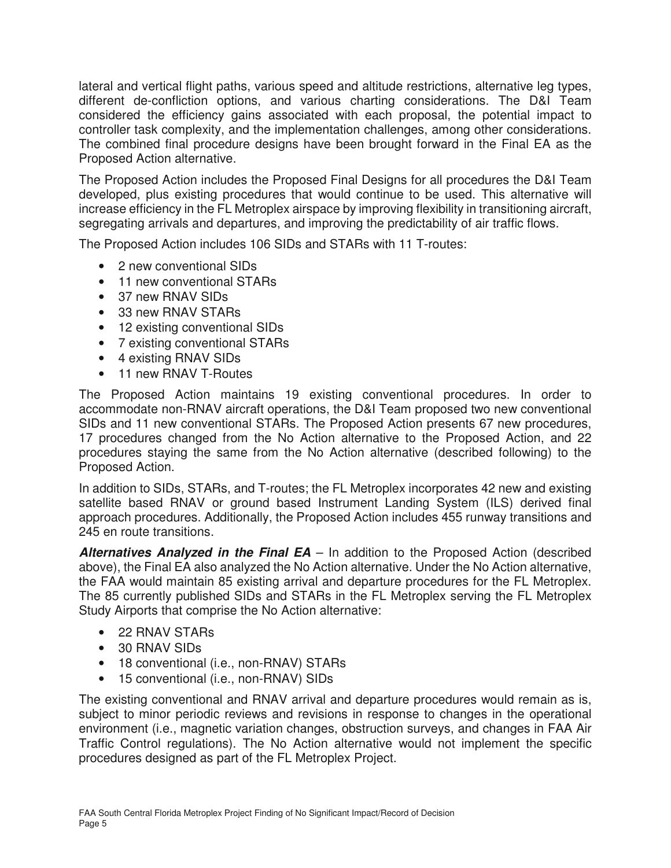lateral and vertical flight paths, various speed and altitude restrictions, alternative leg types, different de-confliction options, and various charting considerations. The D&I Team considered the efficiency gains associated with each proposal, the potential impact to controller task complexity, and the implementation challenges, among other considerations. The combined final procedure designs have been brought forward in the Final EA as the Proposed Action alternative.

The Proposed Action includes the Proposed Final Designs for all procedures the D&I Team developed, plus existing procedures that would continue to be used. This alternative will increase efficiency in the FL Metroplex airspace by improving flexibility in transitioning aircraft, segregating arrivals and departures, and improving the predictability of air traffic flows.

The Proposed Action includes 106 SIDs and STARs with 11 T-routes:

- 2 new conventional SIDs
- 11 new conventional STARs
- 37 new RNAV SIDs
- 33 new RNAV STARs
- 12 existing conventional SIDs
- 7 existing conventional STARs
- 4 existing RNAV SIDs
- 11 new RNAV T-Routes

The Proposed Action maintains 19 existing conventional procedures. In order to accommodate non-RNAV aircraft operations, the D&I Team proposed two new conventional SIDs and 11 new conventional STARs. The Proposed Action presents 67 new procedures, 17 procedures changed from the No Action alternative to the Proposed Action, and 22 procedures staying the same from the No Action alternative (described following) to the Proposed Action.

In addition to SIDs, STARs, and T-routes; the FL Metroplex incorporates 42 new and existing satellite based RNAV or ground based Instrument Landing System (ILS) derived final approach procedures. Additionally, the Proposed Action includes 455 runway transitions and 245 en route transitions.

**Alternatives Analyzed in the Final EA** – In addition to the Proposed Action (described above), the Final EA also analyzed the No Action alternative. Under the No Action alternative, the FAA would maintain 85 existing arrival and departure procedures for the FL Metroplex. The 85 currently published SIDs and STARs in the FL Metroplex serving the FL Metroplex Study Airports that comprise the No Action alternative:

- 22 RNAV STARs
- 30 RNAV SIDs
- 18 conventional (i.e., non-RNAV) STARs
- 15 conventional (i.e., non-RNAV) SIDs

The existing conventional and RNAV arrival and departure procedures would remain as is, subject to minor periodic reviews and revisions in response to changes in the operational environment (i.e., magnetic variation changes, obstruction surveys, and changes in FAA Air Traffic Control regulations). The No Action alternative would not implement the specific procedures designed as part of the FL Metroplex Project.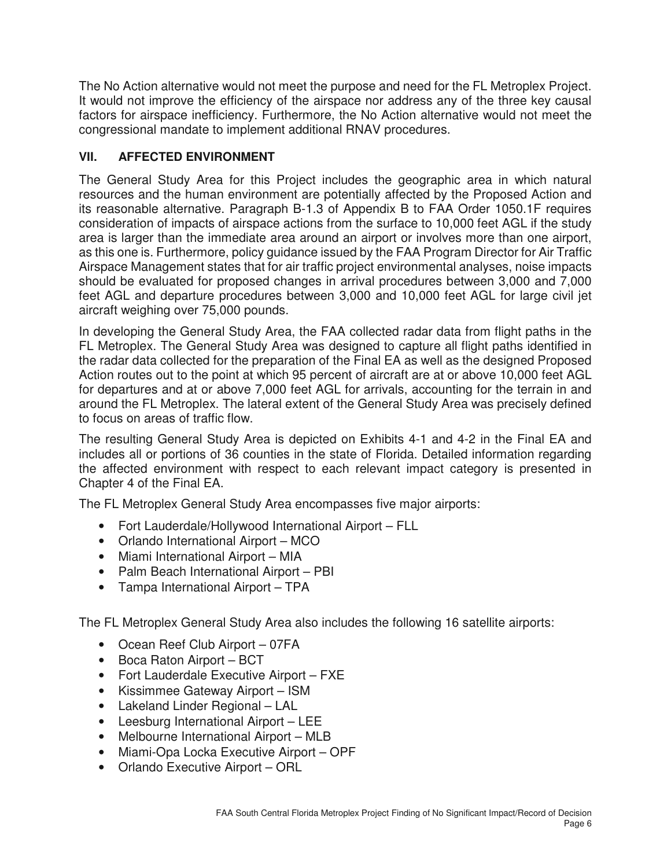The No Action alternative would not meet the purpose and need for the FL Metroplex Project. It would not improve the efficiency of the airspace nor address any of the three key causal factors for airspace inefficiency. Furthermore, the No Action alternative would not meet the congressional mandate to implement additional RNAV procedures.

## **VII. AFFECTED ENVIRONMENT**

The General Study Area for this Project includes the geographic area in which natural resources and the human environment are potentially affected by the Proposed Action and its reasonable alternative. Paragraph B-1.3 of Appendix B to FAA Order 1050.1F requires consideration of impacts of airspace actions from the surface to 10,000 feet AGL if the study area is larger than the immediate area around an airport or involves more than one airport, as this one is. Furthermore, policy guidance issued by the FAA Program Director for Air Traffic Airspace Management states that for air traffic project environmental analyses, noise impacts should be evaluated for proposed changes in arrival procedures between 3,000 and 7,000 feet AGL and departure procedures between 3,000 and 10,000 feet AGL for large civil jet aircraft weighing over 75,000 pounds.

In developing the General Study Area, the FAA collected radar data from flight paths in the FL Metroplex. The General Study Area was designed to capture all flight paths identified in the radar data collected for the preparation of the Final EA as well as the designed Proposed Action routes out to the point at which 95 percent of aircraft are at or above 10,000 feet AGL for departures and at or above 7,000 feet AGL for arrivals, accounting for the terrain in and around the FL Metroplex. The lateral extent of the General Study Area was precisely defined to focus on areas of traffic flow.

The resulting General Study Area is depicted on Exhibits 4-1 and 4-2 in the Final EA and includes all or portions of 36 counties in the state of Florida. Detailed information regarding the affected environment with respect to each relevant impact category is presented in Chapter 4 of the Final EA.

The FL Metroplex General Study Area encompasses five major airports:

- Fort Lauderdale/Hollywood International Airport FLL
- Orlando International Airport MCO
- Miami International Airport MIA
- Palm Beach International Airport PBI
- Tampa International Airport TPA

The FL Metroplex General Study Area also includes the following 16 satellite airports:

- Ocean Reef Club Airport 07FA
- Boca Raton Airport BCT
- Fort Lauderdale Executive Airport FXE
- Kissimmee Gateway Airport ISM
- Lakeland Linder Regional LAL
- Leesburg International Airport LEE
- Melbourne International Airport MLB
- Miami-Opa Locka Executive Airport OPF
- Orlando Executive Airport ORL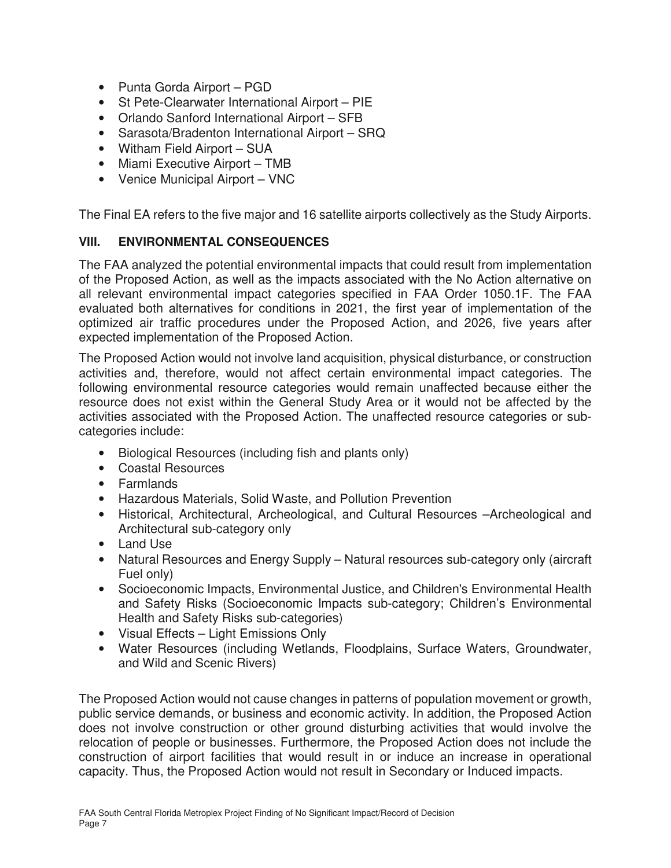- Punta Gorda Airport PGD
- St Pete-Clearwater International Airport PIE
- Orlando Sanford International Airport SFB
- Sarasota/Bradenton International Airport SRQ
- Witham Field Airport SUA
- Miami Executive Airport TMB
- Venice Municipal Airport VNC

The Final EA refers to the five major and 16 satellite airports collectively as the Study Airports.

## **VIII. ENVIRONMENTAL CONSEQUENCES**

The FAA analyzed the potential environmental impacts that could result from implementation of the Proposed Action, as well as the impacts associated with the No Action alternative on all relevant environmental impact categories specified in FAA Order 1050.1F. The FAA evaluated both alternatives for conditions in 2021, the first year of implementation of the optimized air traffic procedures under the Proposed Action, and 2026, five years after expected implementation of the Proposed Action.

The Proposed Action would not involve land acquisition, physical disturbance, or construction activities and, therefore, would not affect certain environmental impact categories. The following environmental resource categories would remain unaffected because either the resource does not exist within the General Study Area or it would not be affected by the activities associated with the Proposed Action. The unaffected resource categories or subcategories include:

- Biological Resources (including fish and plants only)
- Coastal Resources
- Farmlands
- Hazardous Materials, Solid Waste, and Pollution Prevention
- Historical, Architectural, Archeological, and Cultural Resources –Archeological and Architectural sub-category only
- Land Use
- Natural Resources and Energy Supply Natural resources sub-category only (aircraft Fuel only)
- Socioeconomic Impacts, Environmental Justice, and Children's Environmental Health and Safety Risks (Socioeconomic Impacts sub-category; Children's Environmental Health and Safety Risks sub-categories)
- Visual Effects Light Emissions Only
- Water Resources (including Wetlands, Floodplains, Surface Waters, Groundwater, and Wild and Scenic Rivers)

The Proposed Action would not cause changes in patterns of population movement or growth, public service demands, or business and economic activity. In addition, the Proposed Action does not involve construction or other ground disturbing activities that would involve the relocation of people or businesses. Furthermore, the Proposed Action does not include the construction of airport facilities that would result in or induce an increase in operational capacity. Thus, the Proposed Action would not result in Secondary or Induced impacts.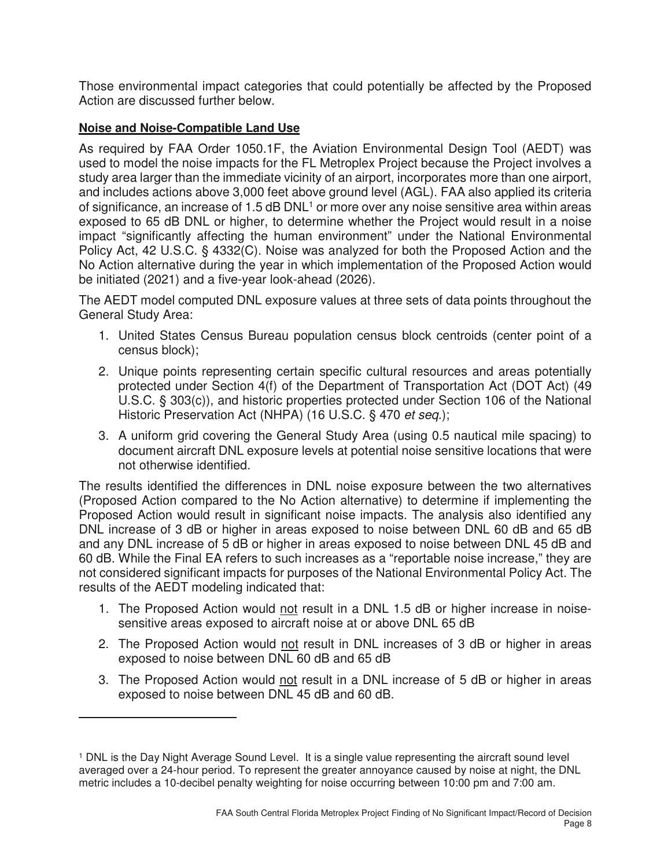Those environmental impact categories that could potentially be affected by the Proposed Action are discussed further below.

## **Noise and Noise-Compatible Land Use**

<u> 1989 - Johann Barn, mars ann an t-A</u>

As required by FAA Order 1050.1F, the Aviation Environmental Design Tool (AEDT) was used to model the noise impacts for the FL Metroplex Project because the Project involves a study area larger than the immediate vicinity of an airport, incorporates more than one airport, and includes actions above 3,000 feet above ground level (AGL). FAA also applied its criteria of significance, an increase of 1.5 dB DNL<sup>1</sup> or more over any noise sensitive area within areas exposed to 65 dB DNL or higher, to determine whether the Project would result in a noise impact "significantly affecting the human environment" under the National Environmental Policy Act, 42 U.S.C. § 4332(C). Noise was analyzed for both the Proposed Action and the No Action alternative during the year in which implementation of the Proposed Action would be initiated (2021) and a five-year look-ahead (2026).

The AEDT model computed DNL exposure values at three sets of data points throughout the General Study Area:

- 1. United States Census Bureau population census block centroids (center point of a census block);
- 2. Unique points representing certain specific cultural resources and areas potentially protected under Section 4(f) of the Department of Transportation Act (DOT Act) (49 U.S.C. § 303(c)), and historic properties protected under Section 106 of the National Historic Preservation Act (NHPA) (16 U.S.C. § 470 et seq.);
- 3. A uniform grid covering the General Study Area (using 0.5 nautical mile spacing) to document aircraft DNL exposure levels at potential noise sensitive locations that were not otherwise identified.

The results identified the differences in DNL noise exposure between the two alternatives (Proposed Action compared to the No Action alternative) to determine if implementing the Proposed Action would result in significant noise impacts. The analysis also identified any DNL increase of 3 dB or higher in areas exposed to noise between DNL 60 dB and 65 dB and any DNL increase of 5 dB or higher in areas exposed to noise between DNL 45 dB and 60 dB. While the Final EA refers to such increases as a "reportable noise increase," they are not considered significant impacts for purposes of the National Environmental Policy Act. The results of the AEDT modeling indicated that:

- 1. The Proposed Action would not result in a DNL 1.5 dB or higher increase in noisesensitive areas exposed to aircraft noise at or above DNL 65 dB
- 2. The Proposed Action would not result in DNL increases of 3 dB or higher in areas exposed to noise between DNL 60 dB and 65 dB
- 3. The Proposed Action would not result in a DNL increase of 5 dB or higher in areas exposed to noise between DNL 45 dB and 60 dB.

<sup>1</sup> DNL is the Day Night Average Sound Level. It is a single value representing the aircraft sound level averaged over a 24-hour period. To represent the greater annoyance caused by noise at night, the DNL metric includes a 10-decibel penalty weighting for noise occurring between 10:00 pm and 7:00 am.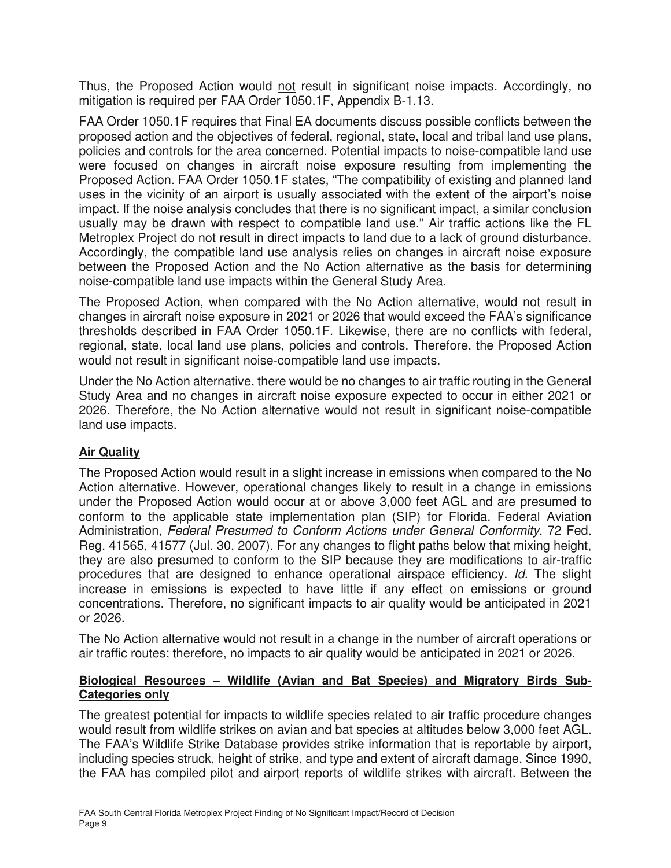Thus, the Proposed Action would not result in significant noise impacts. Accordingly, no mitigation is required per FAA Order 1050.1F, Appendix B-1.13.

FAA Order 1050.1F requires that Final EA documents discuss possible conflicts between the proposed action and the objectives of federal, regional, state, local and tribal land use plans, policies and controls for the area concerned. Potential impacts to noise-compatible land use were focused on changes in aircraft noise exposure resulting from implementing the Proposed Action. FAA Order 1050.1F states, "The compatibility of existing and planned land uses in the vicinity of an airport is usually associated with the extent of the airport's noise impact. If the noise analysis concludes that there is no significant impact, a similar conclusion usually may be drawn with respect to compatible land use." Air traffic actions like the FL Metroplex Project do not result in direct impacts to land due to a lack of ground disturbance. Accordingly, the compatible land use analysis relies on changes in aircraft noise exposure between the Proposed Action and the No Action alternative as the basis for determining noise-compatible land use impacts within the General Study Area.

The Proposed Action, when compared with the No Action alternative, would not result in changes in aircraft noise exposure in 2021 or 2026 that would exceed the FAA's significance thresholds described in FAA Order 1050.1F. Likewise, there are no conflicts with federal, regional, state, local land use plans, policies and controls. Therefore, the Proposed Action would not result in significant noise-compatible land use impacts.

Under the No Action alternative, there would be no changes to air traffic routing in the General Study Area and no changes in aircraft noise exposure expected to occur in either 2021 or 2026. Therefore, the No Action alternative would not result in significant noise-compatible land use impacts.

## **Air Quality**

The Proposed Action would result in a slight increase in emissions when compared to the No Action alternative. However, operational changes likely to result in a change in emissions under the Proposed Action would occur at or above 3,000 feet AGL and are presumed to conform to the applicable state implementation plan (SIP) for Florida. Federal Aviation Administration, Federal Presumed to Conform Actions under General Conformity, 72 Fed. Reg. 41565, 41577 (Jul. 30, 2007). For any changes to flight paths below that mixing height, they are also presumed to conform to the SIP because they are modifications to air-traffic procedures that are designed to enhance operational airspace efficiency. Id. The slight increase in emissions is expected to have little if any effect on emissions or ground concentrations. Therefore, no significant impacts to air quality would be anticipated in 2021 or 2026.

The No Action alternative would not result in a change in the number of aircraft operations or air traffic routes; therefore, no impacts to air quality would be anticipated in 2021 or 2026.

#### **Biological Resources – Wildlife (Avian and Bat Species) and Migratory Birds Sub-Categories only**

The greatest potential for impacts to wildlife species related to air traffic procedure changes would result from wildlife strikes on avian and bat species at altitudes below 3,000 feet AGL. The FAA's Wildlife Strike Database provides strike information that is reportable by airport, including species struck, height of strike, and type and extent of aircraft damage. Since 1990, the FAA has compiled pilot and airport reports of wildlife strikes with aircraft. Between the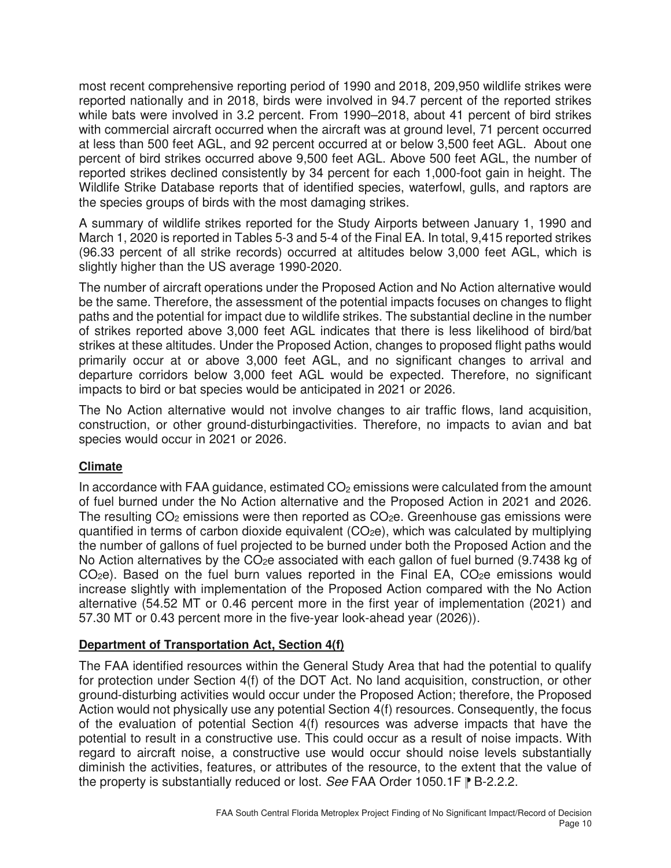most recent comprehensive reporting period of 1990 and 2018, 209,950 wildlife strikes were reported nationally and in 2018, birds were involved in 94.7 percent of the reported strikes while bats were involved in 3.2 percent. From 1990–2018, about 41 percent of bird strikes with commercial aircraft occurred when the aircraft was at ground level, 71 percent occurred at less than 500 feet AGL, and 92 percent occurred at or below 3,500 feet AGL. About one percent of bird strikes occurred above 9,500 feet AGL. Above 500 feet AGL, the number of reported strikes declined consistently by 34 percent for each 1,000-foot gain in height. The Wildlife Strike Database reports that of identified species, waterfowl, gulls, and raptors are the species groups of birds with the most damaging strikes.

A summary of wildlife strikes reported for the Study Airports between January 1, 1990 and March 1, 2020 is reported in Tables 5-3 and 5-4 of the Final EA. In total, 9,415 reported strikes (96.33 percent of all strike records) occurred at altitudes below 3,000 feet AGL, which is slightly higher than the US average 1990-2020.

The number of aircraft operations under the Proposed Action and No Action alternative would be the same. Therefore, the assessment of the potential impacts focuses on changes to flight paths and the potential for impact due to wildlife strikes. The substantial decline in the number of strikes reported above 3,000 feet AGL indicates that there is less likelihood of bird/bat strikes at these altitudes. Under the Proposed Action, changes to proposed flight paths would primarily occur at or above 3,000 feet AGL, and no significant changes to arrival and departure corridors below 3,000 feet AGL would be expected. Therefore, no significant impacts to bird or bat species would be anticipated in 2021 or 2026.

The No Action alternative would not involve changes to air traffic flows, land acquisition, construction, or other ground-disturbingactivities. Therefore, no impacts to avian and bat species would occur in 2021 or 2026.

## **Climate**

In accordance with FAA guidance, estimated  $CO<sub>2</sub>$  emissions were calculated from the amount of fuel burned under the No Action alternative and the Proposed Action in 2021 and 2026. The resulting  $CO<sub>2</sub>$  emissions were then reported as  $CO<sub>2</sub>e$ . Greenhouse gas emissions were quantified in terms of carbon dioxide equivalent  $(CO_2e)$ , which was calculated by multiplying the number of gallons of fuel projected to be burned under both the Proposed Action and the No Action alternatives by the CO<sub>2</sub>e associated with each gallon of fuel burned (9.7438 kg of  $CO<sub>2</sub>e$ ). Based on the fuel burn values reported in the Final EA,  $CO<sub>2</sub>e$  emissions would increase slightly with implementation of the Proposed Action compared with the No Action alternative (54.52 MT or 0.46 percent more in the first year of implementation (2021) and 57.30 MT or 0.43 percent more in the five-year look-ahead year (2026)).

## **Department of Transportation Act, Section 4(f)**

The FAA identified resources within the General Study Area that had the potential to qualify for protection under Section 4(f) of the DOT Act. No land acquisition, construction, or other ground-disturbing activities would occur under the Proposed Action; therefore, the Proposed Action would not physically use any potential Section 4(f) resources. Consequently, the focus of the evaluation of potential Section 4(f) resources was adverse impacts that have the potential to result in a constructive use. This could occur as a result of noise impacts. With regard to aircraft noise, a constructive use would occur should noise levels substantially diminish the activities, features, or attributes of the resource, to the extent that the value of the property is substantially reduced or lost. See FAA Order 1050.1F  $\mathbb{P}$  B-2.2.2.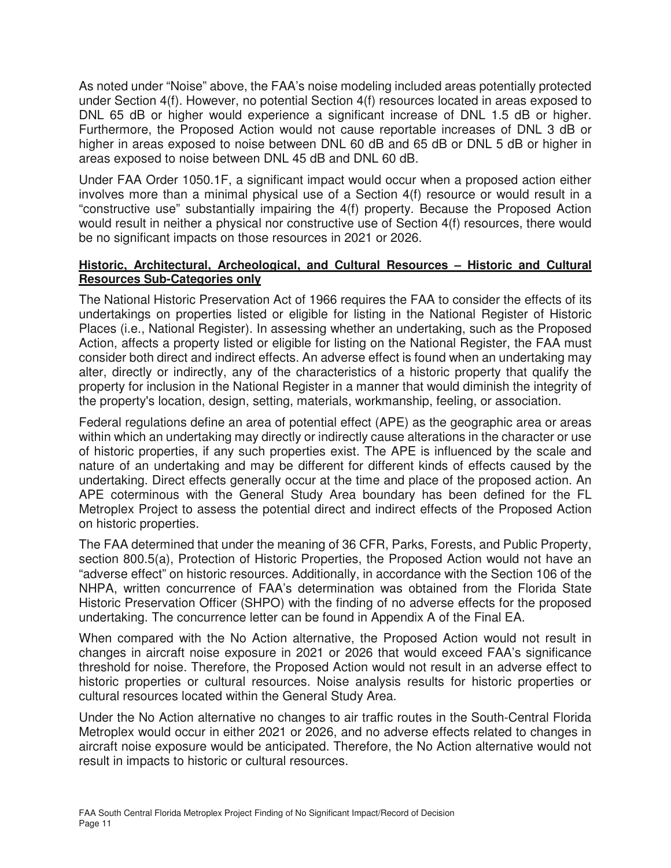As noted under "Noise" above, the FAA's noise modeling included areas potentially protected under Section 4(f). However, no potential Section 4(f) resources located in areas exposed to DNL 65 dB or higher would experience a significant increase of DNL 1.5 dB or higher. Furthermore, the Proposed Action would not cause reportable increases of DNL 3 dB or higher in areas exposed to noise between DNL 60 dB and 65 dB or DNL 5 dB or higher in areas exposed to noise between DNL 45 dB and DNL 60 dB.

Under FAA Order 1050.1F, a significant impact would occur when a proposed action either involves more than a minimal physical use of a Section 4(f) resource or would result in a "constructive use" substantially impairing the 4(f) property. Because the Proposed Action would result in neither a physical nor constructive use of Section 4(f) resources, there would be no significant impacts on those resources in 2021 or 2026.

#### **Historic, Architectural, Archeological, and Cultural Resources – Historic and Cultural Resources Sub-Categories only**

The National Historic Preservation Act of 1966 requires the FAA to consider the effects of its undertakings on properties listed or eligible for listing in the National Register of Historic Places (i.e., National Register). In assessing whether an undertaking, such as the Proposed Action, affects a property listed or eligible for listing on the National Register, the FAA must consider both direct and indirect effects. An adverse effect is found when an undertaking may alter, directly or indirectly, any of the characteristics of a historic property that qualify the property for inclusion in the National Register in a manner that would diminish the integrity of the property's location, design, setting, materials, workmanship, feeling, or association.

Federal regulations define an area of potential effect (APE) as the geographic area or areas within which an undertaking may directly or indirectly cause alterations in the character or use of historic properties, if any such properties exist. The APE is influenced by the scale and nature of an undertaking and may be different for different kinds of effects caused by the undertaking. Direct effects generally occur at the time and place of the proposed action. An APE coterminous with the General Study Area boundary has been defined for the FL Metroplex Project to assess the potential direct and indirect effects of the Proposed Action on historic properties.

The FAA determined that under the meaning of 36 CFR, Parks, Forests, and Public Property, section 800.5(a), Protection of Historic Properties, the Proposed Action would not have an "adverse effect" on historic resources. Additionally, in accordance with the Section 106 of the NHPA, written concurrence of FAA's determination was obtained from the Florida State Historic Preservation Officer (SHPO) with the finding of no adverse effects for the proposed undertaking. The concurrence letter can be found in Appendix A of the Final EA.

When compared with the No Action alternative, the Proposed Action would not result in changes in aircraft noise exposure in 2021 or 2026 that would exceed FAA's significance threshold for noise. Therefore, the Proposed Action would not result in an adverse effect to historic properties or cultural resources. Noise analysis results for historic properties or cultural resources located within the General Study Area.

Under the No Action alternative no changes to air traffic routes in the South-Central Florida Metroplex would occur in either 2021 or 2026, and no adverse effects related to changes in aircraft noise exposure would be anticipated. Therefore, the No Action alternative would not result in impacts to historic or cultural resources.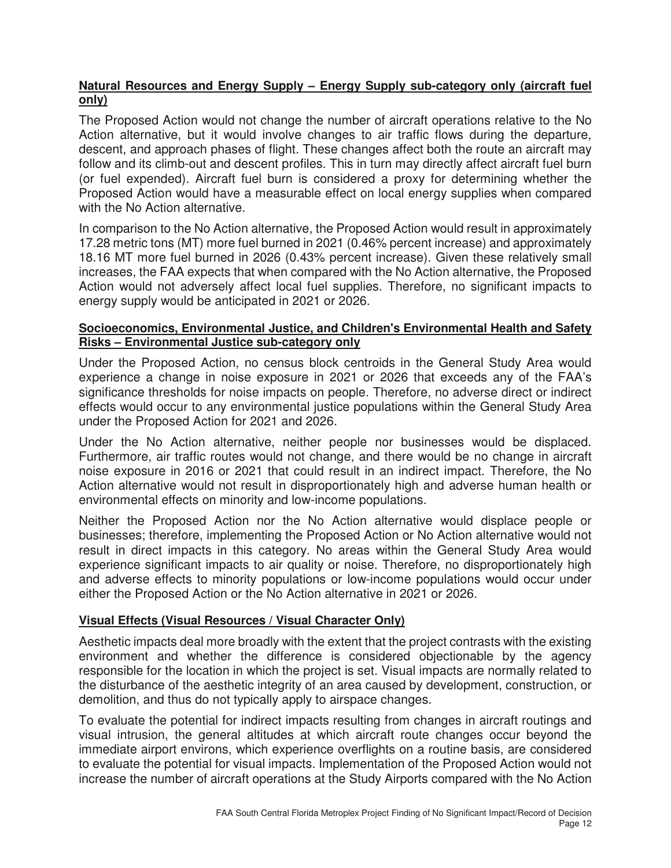## **Natural Resources and Energy Supply – Energy Supply sub-category only (aircraft fuel only)**

The Proposed Action would not change the number of aircraft operations relative to the No Action alternative, but it would involve changes to air traffic flows during the departure, descent, and approach phases of flight. These changes affect both the route an aircraft may follow and its climb-out and descent profiles. This in turn may directly affect aircraft fuel burn (or fuel expended). Aircraft fuel burn is considered a proxy for determining whether the Proposed Action would have a measurable effect on local energy supplies when compared with the No Action alternative.

In comparison to the No Action alternative, the Proposed Action would result in approximately 17.28 metric tons (MT) more fuel burned in 2021 (0.46% percent increase) and approximately 18.16 MT more fuel burned in 2026 (0.43% percent increase). Given these relatively small increases, the FAA expects that when compared with the No Action alternative, the Proposed Action would not adversely affect local fuel supplies. Therefore, no significant impacts to energy supply would be anticipated in 2021 or 2026.

#### **Socioeconomics, Environmental Justice, and Children's Environmental Health and Safety Risks – Environmental Justice sub-category only**

Under the Proposed Action, no census block centroids in the General Study Area would experience a change in noise exposure in 2021 or 2026 that exceeds any of the FAA's significance thresholds for noise impacts on people. Therefore, no adverse direct or indirect effects would occur to any environmental justice populations within the General Study Area under the Proposed Action for 2021 and 2026.

Under the No Action alternative, neither people nor businesses would be displaced. Furthermore, air traffic routes would not change, and there would be no change in aircraft noise exposure in 2016 or 2021 that could result in an indirect impact. Therefore, the No Action alternative would not result in disproportionately high and adverse human health or environmental effects on minority and low-income populations.

Neither the Proposed Action nor the No Action alternative would displace people or businesses; therefore, implementing the Proposed Action or No Action alternative would not result in direct impacts in this category. No areas within the General Study Area would experience significant impacts to air quality or noise. Therefore, no disproportionately high and adverse effects to minority populations or low-income populations would occur under either the Proposed Action or the No Action alternative in 2021 or 2026.

## **Visual Effects (Visual Resources / Visual Character Only)**

Aesthetic impacts deal more broadly with the extent that the project contrasts with the existing environment and whether the difference is considered objectionable by the agency responsible for the location in which the project is set. Visual impacts are normally related to the disturbance of the aesthetic integrity of an area caused by development, construction, or demolition, and thus do not typically apply to airspace changes.

To evaluate the potential for indirect impacts resulting from changes in aircraft routings and visual intrusion, the general altitudes at which aircraft route changes occur beyond the immediate airport environs, which experience overflights on a routine basis, are considered to evaluate the potential for visual impacts. Implementation of the Proposed Action would not increase the number of aircraft operations at the Study Airports compared with the No Action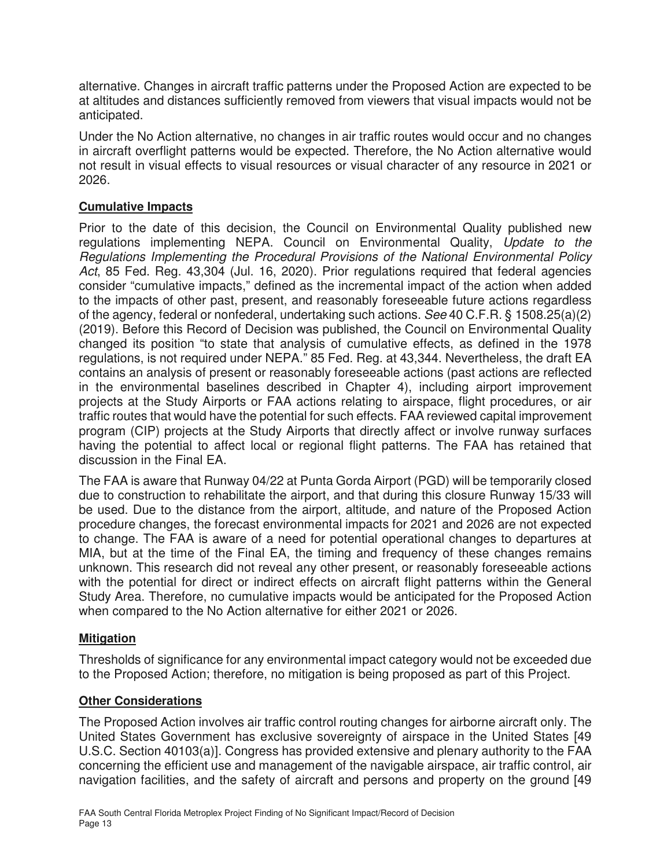alternative. Changes in aircraft traffic patterns under the Proposed Action are expected to be at altitudes and distances sufficiently removed from viewers that visual impacts would not be anticipated.

Under the No Action alternative, no changes in air traffic routes would occur and no changes in aircraft overflight patterns would be expected. Therefore, the No Action alternative would not result in visual effects to visual resources or visual character of any resource in 2021 or 2026.

## **Cumulative Impacts**

Prior to the date of this decision, the Council on Environmental Quality published new regulations implementing NEPA. Council on Environmental Quality, Update to the Regulations Implementing the Procedural Provisions of the National Environmental Policy Act, 85 Fed. Reg. 43,304 (Jul. 16, 2020). Prior regulations required that federal agencies consider "cumulative impacts," defined as the incremental impact of the action when added to the impacts of other past, present, and reasonably foreseeable future actions regardless of the agency, federal or nonfederal, undertaking such actions. See 40 C.F.R. § 1508.25(a)(2) (2019). Before this Record of Decision was published, the Council on Environmental Quality changed its position "to state that analysis of cumulative effects, as defined in the 1978 regulations, is not required under NEPA." 85 Fed. Reg. at 43,344. Nevertheless, the draft EA contains an analysis of present or reasonably foreseeable actions (past actions are reflected in the environmental baselines described in Chapter 4), including airport improvement projects at the Study Airports or FAA actions relating to airspace, flight procedures, or air traffic routes that would have the potential for such effects. FAA reviewed capital improvement program (CIP) projects at the Study Airports that directly affect or involve runway surfaces having the potential to affect local or regional flight patterns. The FAA has retained that discussion in the Final EA.

The FAA is aware that Runway 04/22 at Punta Gorda Airport (PGD) will be temporarily closed due to construction to rehabilitate the airport, and that during this closure Runway 15/33 will be used. Due to the distance from the airport, altitude, and nature of the Proposed Action procedure changes, the forecast environmental impacts for 2021 and 2026 are not expected to change. The FAA is aware of a need for potential operational changes to departures at MIA, but at the time of the Final EA, the timing and frequency of these changes remains unknown. This research did not reveal any other present, or reasonably foreseeable actions with the potential for direct or indirect effects on aircraft flight patterns within the General Study Area. Therefore, no cumulative impacts would be anticipated for the Proposed Action when compared to the No Action alternative for either 2021 or 2026.

## **Mitigation**

Thresholds of significance for any environmental impact category would not be exceeded due to the Proposed Action; therefore, no mitigation is being proposed as part of this Project.

## **Other Considerations**

The Proposed Action involves air traffic control routing changes for airborne aircraft only. The United States Government has exclusive sovereignty of airspace in the United States [49 U.S.C. Section 40103(a)]. Congress has provided extensive and plenary authority to the FAA concerning the efficient use and management of the navigable airspace, air traffic control, air navigation facilities, and the safety of aircraft and persons and property on the ground [49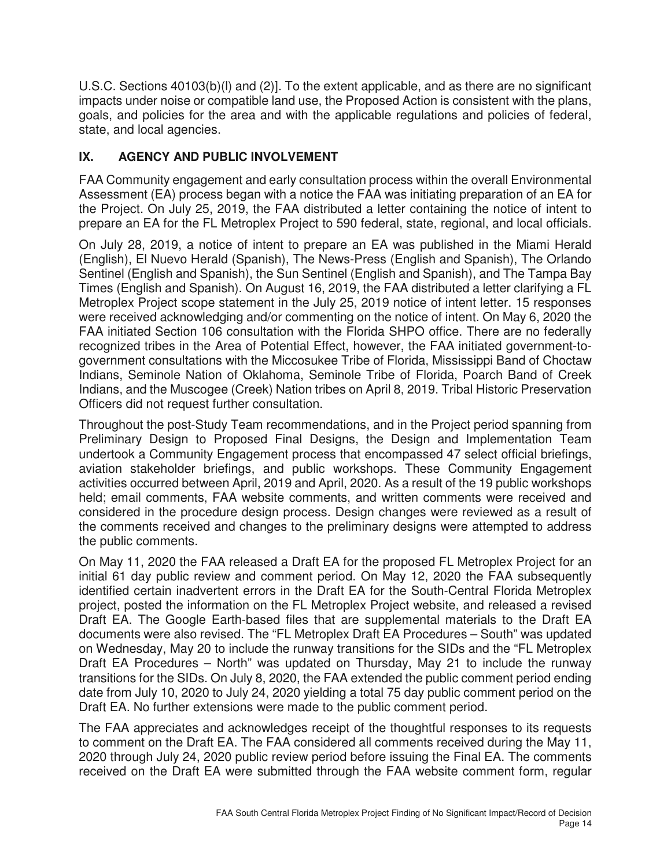U.S.C. Sections 40103(b)(l) and (2)]. To the extent applicable, and as there are no significant impacts under noise or compatible land use, the Proposed Action is consistent with the plans, goals, and policies for the area and with the applicable regulations and policies of federal, state, and local agencies.

## **IX. AGENCY AND PUBLIC INVOLVEMENT**

FAA Community engagement and early consultation process within the overall Environmental Assessment (EA) process began with a notice the FAA was initiating preparation of an EA for the Project. On July 25, 2019, the FAA distributed a letter containing the notice of intent to prepare an EA for the FL Metroplex Project to 590 federal, state, regional, and local officials.

On July 28, 2019, a notice of intent to prepare an EA was published in the Miami Herald (English), El Nuevo Herald (Spanish), The News-Press (English and Spanish), The Orlando Sentinel (English and Spanish), the Sun Sentinel (English and Spanish), and The Tampa Bay Times (English and Spanish). On August 16, 2019, the FAA distributed a letter clarifying a FL Metroplex Project scope statement in the July 25, 2019 notice of intent letter. 15 responses were received acknowledging and/or commenting on the notice of intent. On May 6, 2020 the FAA initiated Section 106 consultation with the Florida SHPO office. There are no federally recognized tribes in the Area of Potential Effect, however, the FAA initiated government-togovernment consultations with the Miccosukee Tribe of Florida, Mississippi Band of Choctaw Indians, Seminole Nation of Oklahoma, Seminole Tribe of Florida, Poarch Band of Creek Indians, and the Muscogee (Creek) Nation tribes on April 8, 2019. Tribal Historic Preservation Officers did not request further consultation.

Throughout the post-Study Team recommendations, and in the Project period spanning from Preliminary Design to Proposed Final Designs, the Design and Implementation Team undertook a Community Engagement process that encompassed 47 select official briefings, aviation stakeholder briefings, and public workshops. These Community Engagement activities occurred between April, 2019 and April, 2020. As a result of the 19 public workshops held; email comments, FAA website comments, and written comments were received and considered in the procedure design process. Design changes were reviewed as a result of the comments received and changes to the preliminary designs were attempted to address the public comments.

On May 11, 2020 the FAA released a Draft EA for the proposed FL Metroplex Project for an initial 61 day public review and comment period. On May 12, 2020 the FAA subsequently identified certain inadvertent errors in the Draft EA for the South-Central Florida Metroplex project, posted the information on the FL Metroplex Project website, and released a revised Draft EA. The Google Earth-based files that are supplemental materials to the Draft EA documents were also revised. The "FL Metroplex Draft EA Procedures – South" was updated on Wednesday, May 20 to include the runway transitions for the SIDs and the "FL Metroplex Draft EA Procedures – North" was updated on Thursday, May 21 to include the runway transitions for the SIDs. On July 8, 2020, the FAA extended the public comment period ending date from July 10, 2020 to July 24, 2020 yielding a total 75 day public comment period on the Draft EA. No further extensions were made to the public comment period.

The FAA appreciates and acknowledges receipt of the thoughtful responses to its requests to comment on the Draft EA. The FAA considered all comments received during the May 11, 2020 through July 24, 2020 public review period before issuing the Final EA. The comments received on the Draft EA were submitted through the FAA website comment form, regular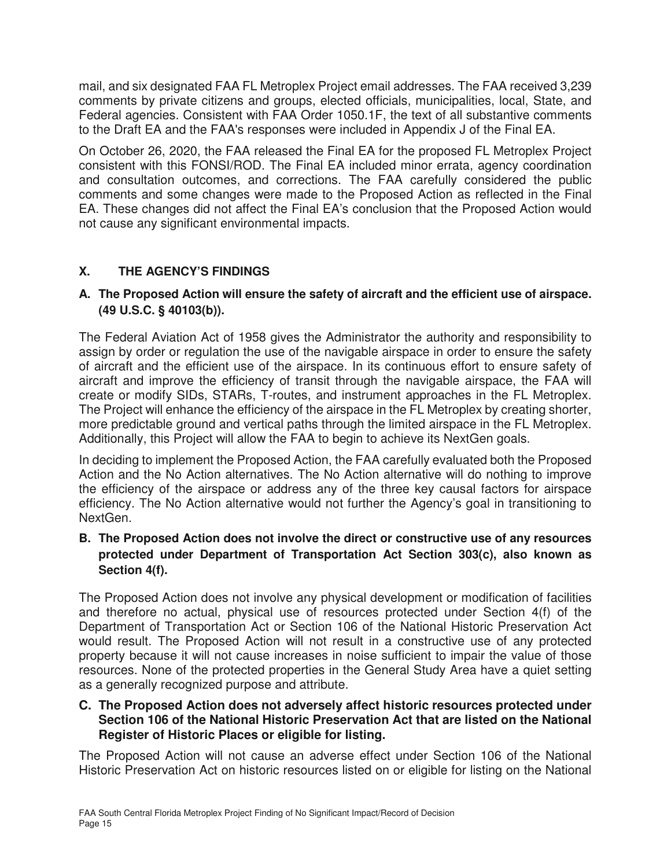mail, and six designated FAA FL Metroplex Project email addresses. The FAA received 3,239 comments by private citizens and groups, elected officials, municipalities, local, State, and Federal agencies. Consistent with FAA Order 1050.1F, the text of all substantive comments to the Draft EA and the FAA's responses were included in Appendix J of the Final EA.

On October 26, 2020, the FAA released the Final EA for the proposed FL Metroplex Project consistent with this FONSI/ROD. The Final EA included minor errata, agency coordination and consultation outcomes, and corrections. The FAA carefully considered the public comments and some changes were made to the Proposed Action as reflected in the Final EA. These changes did not affect the Final EA's conclusion that the Proposed Action would not cause any significant environmental impacts.

# **X. THE AGENCY'S FINDINGS**

## **A. The Proposed Action will ensure the safety of aircraft and the efficient use of airspace. (49 U.S.C. § 40103(b)).**

The Federal Aviation Act of 1958 gives the Administrator the authority and responsibility to assign by order or regulation the use of the navigable airspace in order to ensure the safety of aircraft and the efficient use of the airspace. In its continuous effort to ensure safety of aircraft and improve the efficiency of transit through the navigable airspace, the FAA will create or modify SIDs, STARs, T-routes, and instrument approaches in the FL Metroplex. The Project will enhance the efficiency of the airspace in the FL Metroplex by creating shorter, more predictable ground and vertical paths through the limited airspace in the FL Metroplex. Additionally, this Project will allow the FAA to begin to achieve its NextGen goals.

In deciding to implement the Proposed Action, the FAA carefully evaluated both the Proposed Action and the No Action alternatives. The No Action alternative will do nothing to improve the efficiency of the airspace or address any of the three key causal factors for airspace efficiency. The No Action alternative would not further the Agency's goal in transitioning to NextGen.

## **B. The Proposed Action does not involve the direct or constructive use of any resources protected under Department of Transportation Act Section 303(c), also known as Section 4(f).**

The Proposed Action does not involve any physical development or modification of facilities and therefore no actual, physical use of resources protected under Section 4(f) of the Department of Transportation Act or Section 106 of the National Historic Preservation Act would result. The Proposed Action will not result in a constructive use of any protected property because it will not cause increases in noise sufficient to impair the value of those resources. None of the protected properties in the General Study Area have a quiet setting as a generally recognized purpose and attribute.

#### **C. The Proposed Action does not adversely affect historic resources protected under Section 106 of the National Historic Preservation Act that are listed on the National Register of Historic Places or eligible for listing.**

The Proposed Action will not cause an adverse effect under Section 106 of the National Historic Preservation Act on historic resources listed on or eligible for listing on the National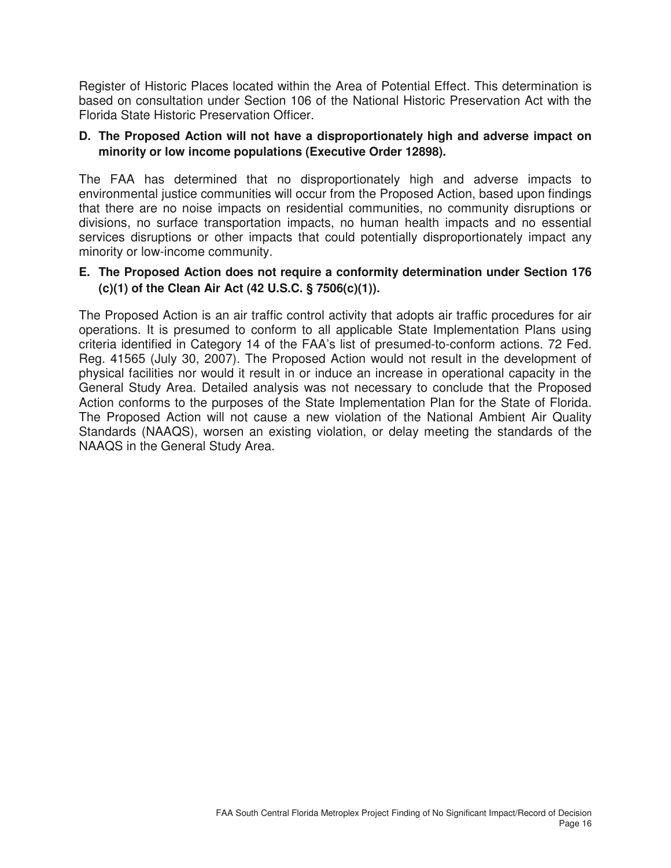Register of Historic Places located within the Area of Potential Effect. This determination is based on consultation under Section 106 of the National Historic Preservation Act with the Florida State Historic Preservation Officer.

#### **D. The Proposed Action will not have a disproportionately high and adverse impact on minority or low income populations (Executive Order 12898).**

The FAA has determined that no disproportionately high and adverse impacts to environmental justice communities will occur from the Proposed Action, based upon findings that there are no noise impacts on residential communities, no community disruptions or divisions, no surface transportation impacts, no human health impacts and no essential services disruptions or other impacts that could potentially disproportionately impact any minority or low-income community.

#### **E. The Proposed Action does not require a conformity determination under Section 176 (c)(1) of the Clean Air Act (42 U.S.C. § 7506(c)(1)).**

The Proposed Action is an air traffic control activity that adopts air traffic procedures for air operations. It is presumed to conform to all applicable State Implementation Plans using criteria identified in Category 14 of the FAA's list of presumed-to-conform actions. 72 Fed. Reg. 41565 (July 30, 2007). The Proposed Action would not result in the development of physical facilities nor would it result in or induce an increase in operational capacity in the General Study Area. Detailed analysis was not necessary to conclude that the Proposed Action conforms to the purposes of the State Implementation Plan for the State of Florida. The Proposed Action will not cause a new violation of the National Ambient Air Quality Standards (NAAQS), worsen an existing violation, or delay meeting the standards of the NAAQS in the General Study Area.